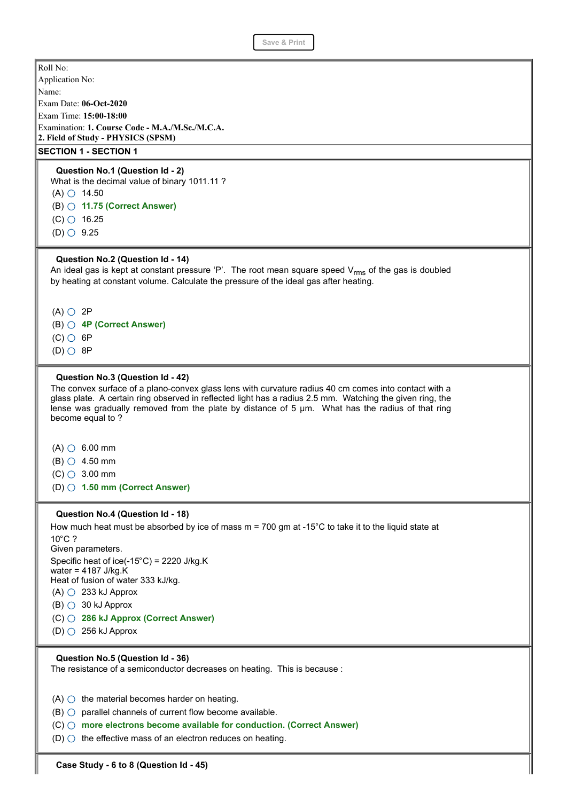| JAVE & FIIIIL                                                                                                                                                                                                                                                                                                                                                                   |
|---------------------------------------------------------------------------------------------------------------------------------------------------------------------------------------------------------------------------------------------------------------------------------------------------------------------------------------------------------------------------------|
| Roll No:                                                                                                                                                                                                                                                                                                                                                                        |
| Application No:                                                                                                                                                                                                                                                                                                                                                                 |
| Name:                                                                                                                                                                                                                                                                                                                                                                           |
| Exam Date: 06-Oct-2020                                                                                                                                                                                                                                                                                                                                                          |
| Exam Time: 15:00-18:00                                                                                                                                                                                                                                                                                                                                                          |
| Examination: 1. Course Code - M.A./M.Sc./M.C.A.<br>2. Field of Study - PHYSICS (SPSM)                                                                                                                                                                                                                                                                                           |
| <b>SECTION 1 - SECTION 1</b>                                                                                                                                                                                                                                                                                                                                                    |
| Question No.1 (Question Id - 2)                                                                                                                                                                                                                                                                                                                                                 |
| What is the decimal value of binary 1011.11 ?                                                                                                                                                                                                                                                                                                                                   |
| $(A)$ $\circ$ 14.50                                                                                                                                                                                                                                                                                                                                                             |
| $(B)$ $\bigcirc$ 11.75 (Correct Answer)                                                                                                                                                                                                                                                                                                                                         |
| $(C)$ 0 16.25                                                                                                                                                                                                                                                                                                                                                                   |
| $(D)$ $\circ$ 9.25                                                                                                                                                                                                                                                                                                                                                              |
|                                                                                                                                                                                                                                                                                                                                                                                 |
| Question No.2 (Question Id - 14)                                                                                                                                                                                                                                                                                                                                                |
| An ideal gas is kept at constant pressure 'P'. The root mean square speed $V_{rms}$ of the gas is doubled                                                                                                                                                                                                                                                                       |
| by heating at constant volume. Calculate the pressure of the ideal gas after heating.                                                                                                                                                                                                                                                                                           |
|                                                                                                                                                                                                                                                                                                                                                                                 |
| $(A)$ $\bigcirc$ 2P                                                                                                                                                                                                                                                                                                                                                             |
| $(B)$ $\bigcirc$ 4P (Correct Answer)                                                                                                                                                                                                                                                                                                                                            |
| $(C)$ 6P                                                                                                                                                                                                                                                                                                                                                                        |
| $(D)$ $\bigcirc$ 8P                                                                                                                                                                                                                                                                                                                                                             |
|                                                                                                                                                                                                                                                                                                                                                                                 |
| Question No.3 (Question Id - 42)<br>The convex surface of a plano-convex glass lens with curvature radius 40 cm comes into contact with a<br>glass plate. A certain ring observed in reflected light has a radius 2.5 mm. Watching the given ring, the<br>lense was gradually removed from the plate by distance of 5 µm. What has the radius of that ring<br>become equal to ? |
| $(A)$ $\circ$ 6.00 mm                                                                                                                                                                                                                                                                                                                                                           |
| $(B)$ $\bigcirc$ 4.50 mm                                                                                                                                                                                                                                                                                                                                                        |
| $(C)$ $\bigcirc$ 3.00 mm                                                                                                                                                                                                                                                                                                                                                        |
| (D) 0 1.50 mm (Correct Answer)                                                                                                                                                                                                                                                                                                                                                  |
|                                                                                                                                                                                                                                                                                                                                                                                 |
| Question No.4 (Question Id - 18)                                                                                                                                                                                                                                                                                                                                                |
| How much heat must be absorbed by ice of mass $m = 700$ gm at -15°C to take it to the liquid state at                                                                                                                                                                                                                                                                           |
| $10^{\circ}$ C ?                                                                                                                                                                                                                                                                                                                                                                |
| Given parameters.                                                                                                                                                                                                                                                                                                                                                               |
| Specific heat of ice(-15 $°C$ ) = 2220 J/kg.K                                                                                                                                                                                                                                                                                                                                   |
| water = $4187$ J/kg.K<br>Heat of fusion of water 333 kJ/kg.                                                                                                                                                                                                                                                                                                                     |
| $(A)$ $\bigcirc$ 233 kJ Approx                                                                                                                                                                                                                                                                                                                                                  |
| $(B)$ $\bigcirc$ 30 kJ Approx                                                                                                                                                                                                                                                                                                                                                   |
| (C) ○ 286 kJ Approx (Correct Answer)                                                                                                                                                                                                                                                                                                                                            |
| $(D)$ $\circ$ 256 kJ Approx                                                                                                                                                                                                                                                                                                                                                     |
|                                                                                                                                                                                                                                                                                                                                                                                 |
| Question No.5 (Question Id - 36)<br>The resistance of a semiconductor decreases on heating. This is because :                                                                                                                                                                                                                                                                   |
| $(A)$ $\bigcirc$ the material becomes harder on heating.                                                                                                                                                                                                                                                                                                                        |
| $(B)$ $\bigcirc$ parallel channels of current flow become available.                                                                                                                                                                                                                                                                                                            |
| $(C)$ more electrons become available for conduction. (Correct Answer)                                                                                                                                                                                                                                                                                                          |
|                                                                                                                                                                                                                                                                                                                                                                                 |

 $(D)$  the effective mass of an electron reduces on heating.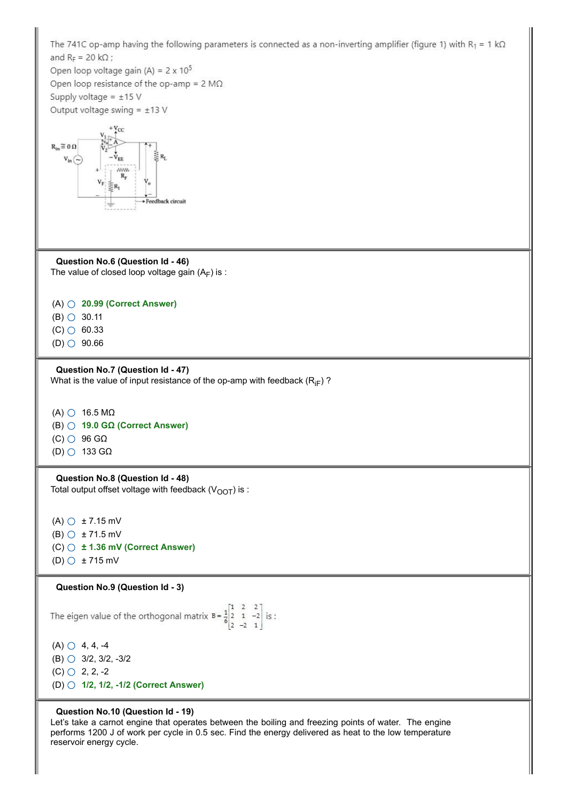

Let's take a carnot engine that operates between the boiling and freezing points of water. The engine performs 1200 J of work per cycle in 0.5 sec. Find the energy delivered as heat to the low temperature reservoir energy cycle.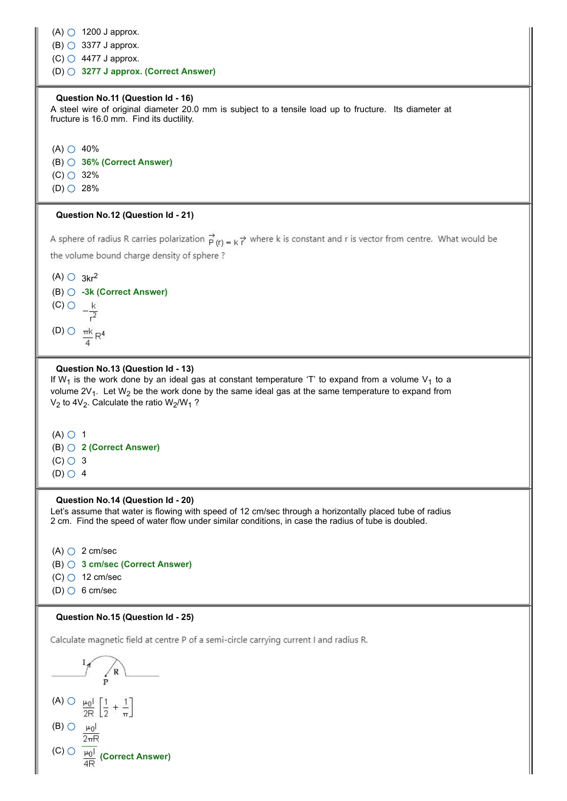$(A)$   $\bigcirc$  1200 J approx.  $(B)$   $\bigcirc$  3377 J approx.

 $(C)$  4477 J approx.

(D) **3277 J approx. (Correct Answer)**

### **Question No.11 (Question Id - 16)**

A steel wire of original diameter 20.0 mm is subject to a tensile load up to fructure. Its diameter at fructure is 16.0 mm. Find its ductility.

 $(A)$   $\bigcirc$  40% (B) **36% (Correct Answer)**  $(C)$  32%  $(D)$  28%

## **Question No.12 (Question Id - 21)**

A sphere of radius R carries polarization  $\overrightarrow{P}(r) = k \overrightarrow{r}$  where k is constant and r is vector from centre. What would be the volume bound charge density of sphere?



### **Question No.13 (Question Id - 13)**

If W<sub>1</sub> is the work done by an ideal gas at constant temperature 'T' to expand from a volume V<sub>1</sub> to a volume 2V<sub>1</sub>. Let W<sub>2</sub> be the work done by the same ideal gas at the same temperature to expand from  $\mathsf{V}_2$  to 4 $\mathsf{V}_2$ . Calculate the ratio  $\mathsf{W}_2/\mathsf{W}_1$  ?



#### **Question No.14 (Question Id - 20)**

Let's assume that water is flowing with speed of 12 cm/sec through a horizontally placed tube of radius 2 cm. Find the speed of water flow under similar conditions, in case the radius of tube is doubled.

- $(A)$   $\bigcirc$  2 cm/sec (B) **3 cm/sec (Correct Answer)**
- $(C)$  12 cm/sec
- $(D)$  6 cm/sec

### **Question No.15 (Question Id - 25)**

Calculate magnetic field at centre P of a semi-circle carrying current I and radius R.

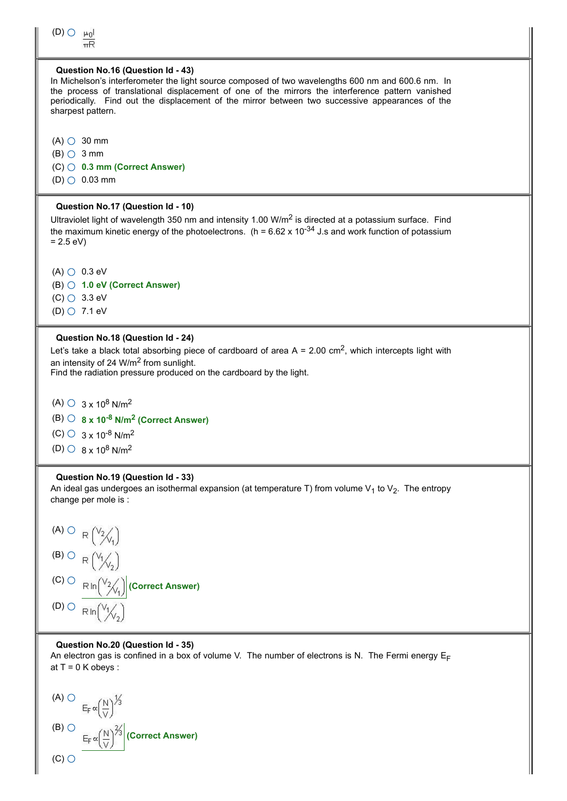

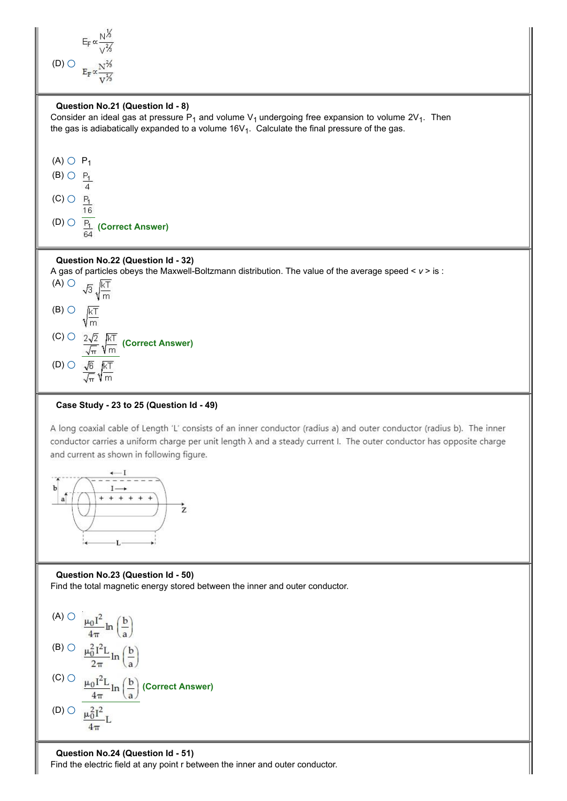

## **Case Study - 23 to 25 (Question Id - 49)**

A long coaxial cable of Length 'L' consists of an inner conductor (radius a) and outer conductor (radius b). The inner conductor carries a uniform charge per unit length  $\lambda$  and a steady current I. The outer conductor has opposite charge and current as shown in following figure.



**Question No.23 (Question Id - 50)** Find the total magnetic energy stored between the inner and outer conductor.



**Question No.24 (Question Id - 51)** Find the electric field at any point r between the inner and outer conductor.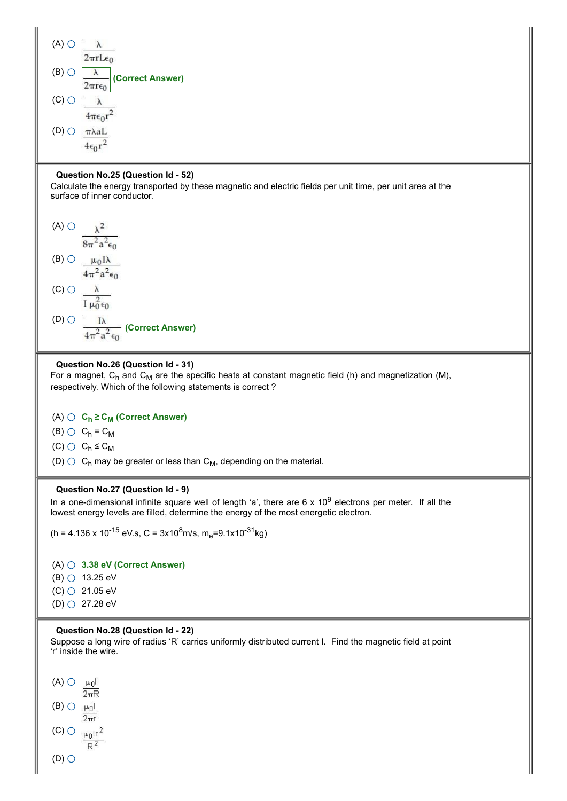

### **Question No.25 (Question Id - 52)**

Calculate the energy transported by these magnetic and electric fields per unit time, per unit area at the surface of inner conductor.



### **Question No.26 (Question Id - 31)**

For a magnet,  $C_h$  and  $C_M$  are the specific heats at constant magnetic field (h) and magnetization (M), respectively. Which of the following statements is correct ?

# (A) **C<sup>h</sup> ≥ C<sup>M</sup> (Correct Answer)**

(B)  $\bigcirc$  C<sub>h</sub> = C<sub>M</sub>

 $(C)$   $C_h \le C_M$ 

(D)  $\bigcirc\,$  C<sub>h</sub> may be greater or less than C<sub>M</sub>, depending on the material.

#### **Question No.27 (Question Id - 9)**

In a one-dimensional infinite square well of length 'a', there are 6 x 10<sup>9</sup> electrons per meter. If all the lowest energy levels are filled, determine the energy of the most energetic electron.

(h = 4.136 x 10<sup>-15</sup> eV.s, C = 3x10<sup>8</sup>m/s, m<sub>e</sub>=9.1x10<sup>-31</sup>kg)

(A) **3.38 eV (Correct Answer)**

- (B)  $\bigcirc$  13.25 eV
- $(C)$  21.05 eV
- (D) 27.28 eV

## **Question No.28 (Question Id - 22)**

Suppose a long wire of radius 'R' carries uniformly distributed current I. Find the magnetic field at point 'r' inside the wire.

 $(A)$   $\bigcirc$ ان س  $2\pi R$  $(B)$   $\bigcirc$   $\mu_0$  $\overline{2\pi r}$ (C)  $\bigcirc$   $\mu_0$ Ir<sup>2</sup>  $R^2$  $(D)$  $O$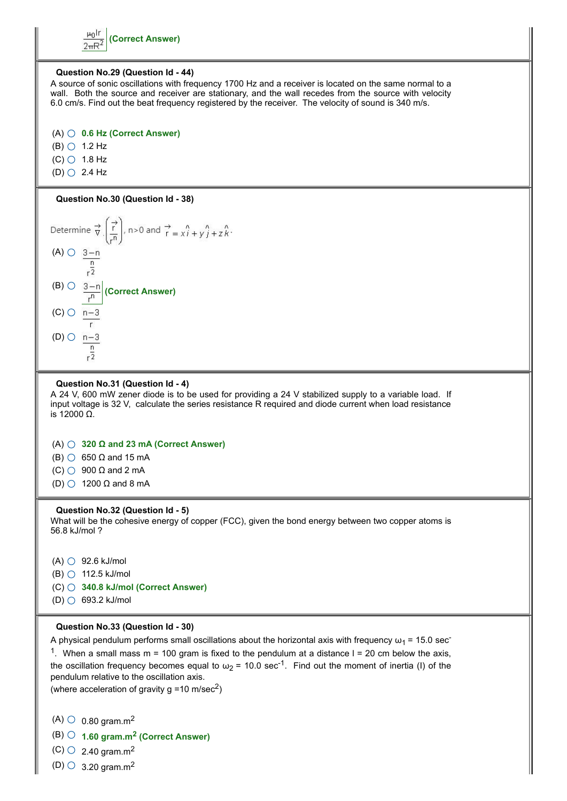$\mu_0$ Ir **(Correct Answer)**  $2\pi R^2$ 

### **Question No.29 (Question Id - 44)**

A source of sonic oscillations with frequency 1700 Hz and a receiver is located on the same normal to a wall. Both the source and receiver are stationary, and the wall recedes from the source with velocity 6.0 cm/s. Find out the beat frequency registered by the receiver. The velocity of sound is 340 m/s.

# (A) **0.6 Hz (Correct Answer)**

- $(B)$   $\circ$  1.2 Hz
- $(C)$  1.8 Hz
- $(D)$   $O$  2.4 Hz

# **Question No.30 (Question Id - 38)**



#### **Question No.31 (Question Id - 4)**

A 24 V, 600 mW zener diode is to be used for providing a 24 V stabilized supply to a variable load. If input voltage is 32 V, calculate the series resistance R required and diode current when load resistance is 12000 Ω.

# (A) **320 Ω and 23 mA (Correct Answer)**

(B)  $\bigcirc$  650  $\Omega$  and 15 mA

 $(C)$  900  $\Omega$  and 2 mA

 $(D)$  1200  $\Omega$  and 8 mA

#### **Question No.32 (Question Id - 5)**

What will be the cohesive energy of copper (FCC), given the bond energy between two copper atoms is 56.8 kJ/mol ?

 $(A)$   $\bigcirc$  92.6 kJ/mol  $(B)$  112.5 kJ/mol (C) **340.8 kJ/mol (Correct Answer)** (D) 693.2 kJ/mol

#### **Question No.33 (Question Id - 30)**

A physical pendulum performs small oscillations about the horizontal axis with frequency  $\omega_1$  = 15.0 sec-

<sup>1</sup>. When a small mass m = 100 gram is fixed to the pendulum at a distance I = 20 cm below the axis, the oscillation frequency becomes equal to  $\omega_2$  = 10.0 sec<sup>-1</sup>. Find out the moment of inertia (I) of the pendulum relative to the oscillation axis.

(where acceleration of gravity g =10 m/sec<sup>2</sup>)

 $(A)$  0.80 gram.m<sup>2</sup>

(B) **1.60 gram.m<sup>2</sup> (Correct Answer)**

 $(C)$  2.40 gram.m<sup>2</sup>

 $(D)$  3.20 gram.m<sup>2</sup>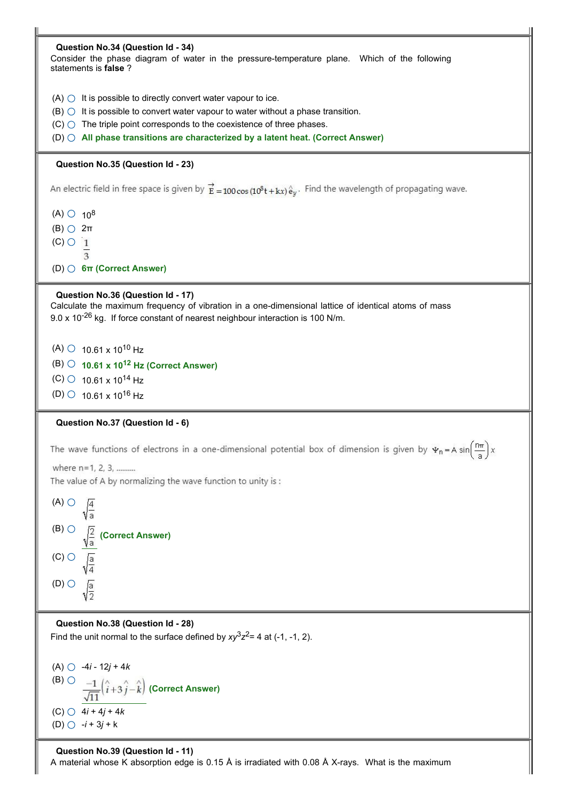| Question No.34 (Question Id - 34)<br>Consider the phase diagram of water in the pressure-temperature plane. Which of the following<br>statements is <b>false</b> ?       |
|--------------------------------------------------------------------------------------------------------------------------------------------------------------------------|
| $(A)$ $\bigcirc$ It is possible to directly convert water vapour to ice.<br>$(B)$ $\bigcirc$ It is possible to convert water vapour to water without a phase transition. |
|                                                                                                                                                                          |
| $(C)$ The triple point corresponds to the coexistence of three phases.                                                                                                   |
| $(D)$ $\bigcirc$ All phase transitions are characterized by a latent heat. (Correct Answer)                                                                              |
| Question No.35 (Question Id - 23)                                                                                                                                        |
| An electric field in free space is given by $\overrightarrow{E} = 100 \cos(10^8 t + kx) \hat{e}_y$ . Find the wavelength of propagating wave.                            |
| $(A)$ $\circ$ $10^8$                                                                                                                                                     |
| $(B)$ $\bigcirc$ $2\pi$                                                                                                                                                  |
| $(C)$ $\circ$ $\frac{1}{1}$                                                                                                                                              |
| 3                                                                                                                                                                        |
| $(D)$ 6 $\pi$ (Correct Answer)                                                                                                                                           |
|                                                                                                                                                                          |
| Question No.36 (Question Id - 17)                                                                                                                                        |
| Calculate the maximum frequency of vibration in a one-dimensional lattice of identical atoms of mass                                                                     |
| 9.0 x 10 <sup>-26</sup> kg. If force constant of nearest neighbour interaction is 100 N/m.                                                                               |
|                                                                                                                                                                          |
| $(A)$ 0 10.61 x 10 <sup>10</sup> Hz                                                                                                                                      |
| $(B)$ $\circ$ 10.61 x 10 <sup>12</sup> Hz (Correct Answer)                                                                                                               |
| $(C)$ 0 10.61 x 10 <sup>14</sup> Hz                                                                                                                                      |
|                                                                                                                                                                          |
| $(D)$ 0 10.61 x 10 <sup>16</sup> Hz                                                                                                                                      |
| Question No.37 (Question Id - 6)                                                                                                                                         |
|                                                                                                                                                                          |
| The wave functions of electrons in a one-dimensional potential box of dimension is given by $\Psi_n = A \sin\left(\frac{n\pi}{a}\right)x$                                |
| where n=1, 2, 3,                                                                                                                                                         |
| The value of A by normalizing the wave function to unity is :                                                                                                            |
|                                                                                                                                                                          |
| $(A)$ $\bigcirc$                                                                                                                                                         |
|                                                                                                                                                                          |
| $(B)$ $\bigcirc$                                                                                                                                                         |
| (Correct Answer)                                                                                                                                                         |
| $(C)$ $\bigcirc$                                                                                                                                                         |
| $\sqrt{\frac{a}{4}}$                                                                                                                                                     |
|                                                                                                                                                                          |
|                                                                                                                                                                          |
| $(D)$ $\bigcirc$<br>$\sqrt{\frac{a}{2}}$                                                                                                                                 |
|                                                                                                                                                                          |
| Question No.38 (Question Id - 28)                                                                                                                                        |
| Find the unit normal to the surface defined by $xy^3z^2 = 4$ at (-1, -1, 2).                                                                                             |
|                                                                                                                                                                          |
|                                                                                                                                                                          |
| (A) $\bigcirc$ -4 <i>i</i> - 12 <i>j</i> + 4 <i>k</i>                                                                                                                    |
| $(B)$ $\bigcirc$                                                                                                                                                         |
| $\left \frac{-1}{\sqrt{11}}\left(\stackrel{\wedge}{i}+3\stackrel{\wedge}{j}-\stackrel{\wedge}{k}\right)\right $ (Correct Answer)                                         |
| (C) $\bigcirc$ 4 <i>i</i> + 4 <i>j</i> + 4 <i>k</i>                                                                                                                      |
| (D) $\bigcirc$ -i + 3j + k                                                                                                                                               |
|                                                                                                                                                                          |
| Question No.39 (Question Id - 11)<br>A material whose K absorption edge is 0.15 Å is irradiated with 0.08 Å X-rays. What is the maximum                                  |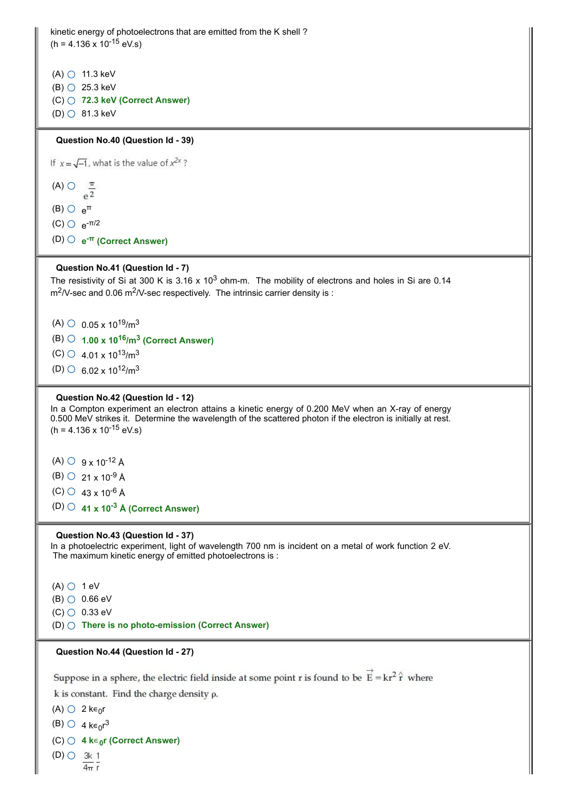```
kinetic energy of photoelectrons that are emitted from the K shell ?
(h = 4.136 \times 10^{-15} \text{ eV.s})(A) 11.3 keV
(B) \bigcirc 25.3 keV
(C) 72.3 keV (Correct Answer)
(D) \circ 81.3 keV
 Question No.40 (Question Id - 39)
If x = \sqrt{-1}, what is the value of x^{2x}?
(A) \bigcirc \frac{\pi}{e^2}(B) \circ e^{\pi}(C) \circ e^{-π/2}(D) e
-π (Correct Answer)
 Question No.41 (Question Id - 7)
The resistivity of Si at 300 K is 3.16 \times 10^3 ohm-m. The mobility of electrons and holes in Si are 0.14
\text{m}^2/V-sec and 0.06 m^2/V-sec respectively. The intrinsic carrier density is :
 (A) \circ 0.05 x 10<sup>19</sup>/m<sup>3</sup>
 (B) 1.00 x 1016
/m3
(Correct Answer)
 (C) \circ 4.01 x 10<sup>13</sup>/m<sup>3</sup>
 (D) 6.02 x 10<sup>12</sup>/m<sup>3</sup>
 Question No.42 (Question Id - 12)
In a Compton experiment an electron attains a kinetic energy of 0.200 MeV when an X-ray of energy
0.500 MeV strikes it. Determine the wavelength of the scattered photon if the electron is initially at rest.
(h = 4.136 \times 10^{-15} \text{ eV.s})(A) \circ 9 x 10<sup>-12</sup> Å
 (B) \circ 21 x 10<sup>-9</sup> Å
 (C) \circ 43 x 10<sup>-6</sup> Å
 (D) 41 x 10-3
 Å (Correct Answer)
 Question No.43 (Question Id - 37)
In a photoelectric experiment, light of wavelength 700 nm is incident on a metal of work function 2 eV.
The maximum kinetic energy of emitted photoelectrons is :
(A) \bigcirc 1 eV
(B) 0.66 eV
(C) 0.33 eV
(D) There is no photo-emission (Correct Answer)
 Question No.44 (Question Id - 27)
 Suppose in a sphere, the electric field inside at some point r is found to be \vec{E} = kr^2 \hat{r} where
 k is constant. Find the charge density \rho.
 (A) \bigcirc 2 k\epsilon_0r
 (B) \circ 4 k\epsilon_0r<sup>3</sup>
 (C) 4 k∊0
r (Correct Answer)
(D) \bigcirc 3k 1
```
 $\overline{4\pi}$  r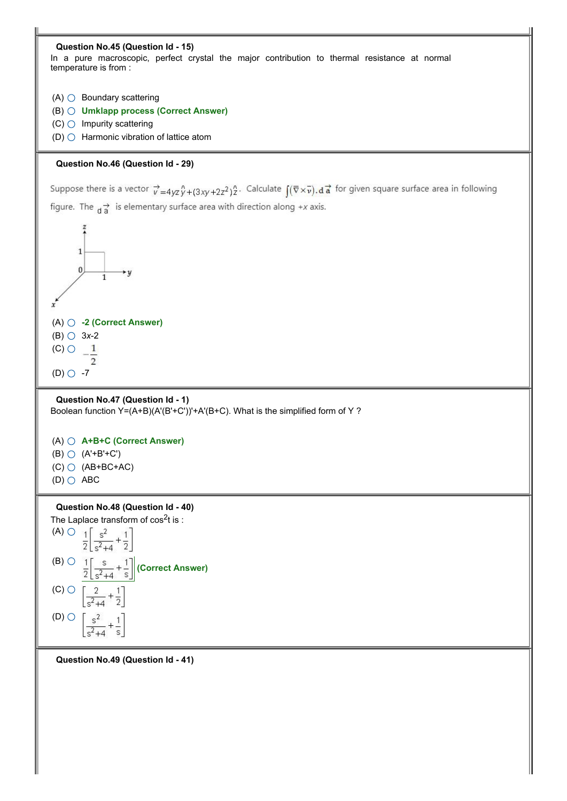